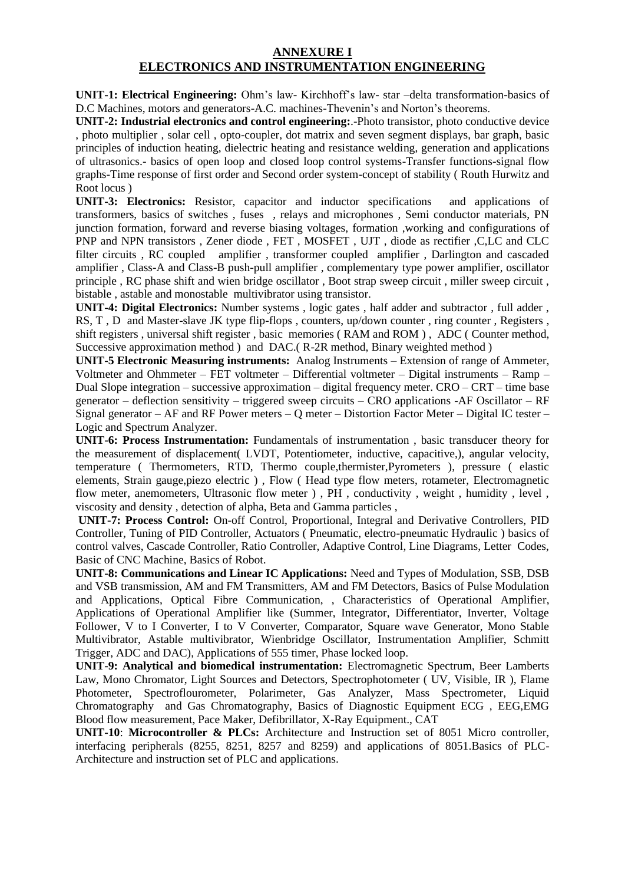## **ANNEXURE I ELECTRONICS AND INSTRUMENTATION ENGINEERING**

**UNIT-1: Electrical Engineering:** Ohm's law- Kirchhoff's law- star –delta transformation-basics of D.C Machines, motors and generators-A.C. machines-Thevenin's and Norton's theorems.

**UNIT-2: Industrial electronics and control engineering:**.-Photo transistor, photo conductive device , photo multiplier , solar cell , opto-coupler, dot matrix and seven segment displays, bar graph, basic principles of induction heating, dielectric heating and resistance welding, generation and applications of ultrasonics.- basics of open loop and closed loop control systems-Transfer functions-signal flow graphs-Time response of first order and Second order system-concept of stability ( Routh Hurwitz and Root locus )

**UNIT-3: Electronics:** Resistor, capacitor and inductor specifications and applications of transformers, basics of switches , fuses , relays and microphones , Semi conductor materials, PN junction formation, forward and reverse biasing voltages, formation ,working and configurations of PNP and NPN transistors , Zener diode , FET , MOSFET , UJT , diode as rectifier ,C,LC and CLC filter circuits , RC coupled amplifier , transformer coupled amplifier , Darlington and cascaded amplifier , Class-A and Class-B push-pull amplifier , complementary type power amplifier, oscillator principle , RC phase shift and wien bridge oscillator , Boot strap sweep circuit , miller sweep circuit , bistable , astable and monostable multivibrator using transistor.

**UNIT-4: Digital Electronics:** Number systems , logic gates , half adder and subtractor , full adder , RS, T, D and Master-slave JK type flip-flops, counters, up/down counter, ring counter, Registers, shift registers , universal shift register , basic memories ( RAM and ROM ) , ADC ( Counter method, Successive approximation method ) and DAC.( R-2R method, Binary weighted method )

**UNIT-5 Electronic Measuring instruments:** Analog Instruments – Extension of range of Ammeter, Voltmeter and Ohmmeter – FET voltmeter – Differential voltmeter – Digital instruments – Ramp – Dual Slope integration – successive approximation – digital frequency meter. CRO – CRT – time base generator – deflection sensitivity – triggered sweep circuits – CRO applications -AF Oscillator – RF Signal generator – AF and RF Power meters – Q meter – Distortion Factor Meter – Digital IC tester – Logic and Spectrum Analyzer.

**UNIT-6: Process Instrumentation:** Fundamentals of instrumentation , basic transducer theory for the measurement of displacement( LVDT, Potentiometer, inductive, capacitive,), angular velocity, temperature ( Thermometers, RTD, Thermo couple,thermister,Pyrometers ), pressure ( elastic elements, Strain gauge,piezo electric ) , Flow ( Head type flow meters, rotameter, Electromagnetic flow meter, anemometers, Ultrasonic flow meter ) , PH , conductivity , weight , humidity , level , viscosity and density , detection of alpha, Beta and Gamma particles ,

**UNIT-7: Process Control:** On-off Control, Proportional, Integral and Derivative Controllers, PID Controller, Tuning of PID Controller, Actuators ( Pneumatic, electro-pneumatic Hydraulic ) basics of control valves, Cascade Controller, Ratio Controller, Adaptive Control, Line Diagrams, Letter Codes, Basic of CNC Machine, Basics of Robot.

**UNIT-8: Communications and Linear IC Applications:** Need and Types of Modulation, SSB, DSB and VSB transmission, AM and FM Transmitters, AM and FM Detectors, Basics of Pulse Modulation and Applications, Optical Fibre Communication, , Characteristics of Operational Amplifier, Applications of Operational Amplifier like (Summer, Integrator, Differentiator, Inverter, Voltage Follower, V to I Converter, I to V Converter, Comparator, Square wave Generator, Mono Stable Multivibrator, Astable multivibrator, Wienbridge Oscillator, Instrumentation Amplifier, Schmitt Trigger, ADC and DAC), Applications of 555 timer, Phase locked loop.

**UNIT-9: Analytical and biomedical instrumentation:** Electromagnetic Spectrum, Beer Lamberts Law, Mono Chromator, Light Sources and Detectors, Spectrophotometer ( UV, Visible, IR ), Flame Photometer, Spectroflourometer, Polarimeter, Gas Analyzer, Mass Spectrometer, Liquid Chromatography and Gas Chromatography, Basics of Diagnostic Equipment ECG , EEG,EMG Blood flow measurement, Pace Maker, Defibrillator, X-Ray Equipment., CAT

**UNIT-10**: **Microcontroller & PLCs:** Architecture and Instruction set of 8051 Micro controller, interfacing peripherals (8255, 8251, 8257 and 8259) and applications of 8051.Basics of PLC-Architecture and instruction set of PLC and applications.